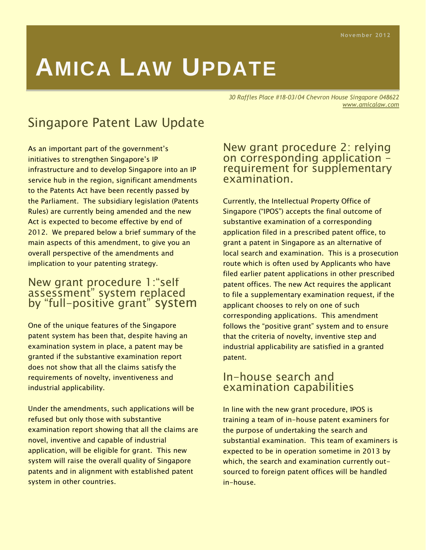# **AMICA LAW UPDATE**

*30 Raffles Place #18-03/04 Chevron House Singapore 048622 www.amicalaw.com* 

# Singapore Patent Law Update

As an important part of the government's initiatives to strengthen Singapore's IP infrastructure and to develop Singapore into an IP service hub in the region, significant amendments to the Patents Act have been recently passed by the Parliament. The subsidiary legislation (Patents Rules) are currently being amended and the new Act is expected to become effective by end of 2012. We prepared below a brief summary of the main aspects of this amendment, to give you an overall perspective of the amendments and implication to your patenting strategy.

#### New grant procedure 1:"self assessment" system replaced by "full-positive grant" system

One of the unique features of the Singapore patent system has been that, despite having an examination system in place, a patent may be granted if the substantive examination report does not show that all the claims satisfy the requirements of novelty, inventiveness and industrial applicability.

Under the amendments, such applications will be refused but only those with substantive examination report showing that all the claims are novel, inventive and capable of industrial application, will be eligible for grant. This new system will raise the overall quality of Singapore patents and in alignment with established patent system in other countries.

#### New grant procedure 2: relying on corresponding application – requirement for supplementary examination.

Currently, the Intellectual Property Office of Singapore ("IPOS") accepts the final outcome of substantive examination of a corresponding application filed in a prescribed patent office, to grant a patent in Singapore as an alternative of local search and examination. This is a prosecution route which is often used by Applicants who have filed earlier patent applications in other prescribed patent offices. The new Act requires the applicant to file a supplementary examination request, if the applicant chooses to rely on one of such corresponding applications. This amendment follows the "positive grant" system and to ensure that the criteria of novelty, inventive step and industrial applicability are satisfied in a granted patent.

#### In-house search and examination capabilities

In line with the new grant procedure, IPOS is training a team of in-house patent examiners for the purpose of undertaking the search and substantial examination. This team of examiners is expected to be in operation sometime in 2013 by which, the search and examination currently outsourced to foreign patent offices will be handled in-house.